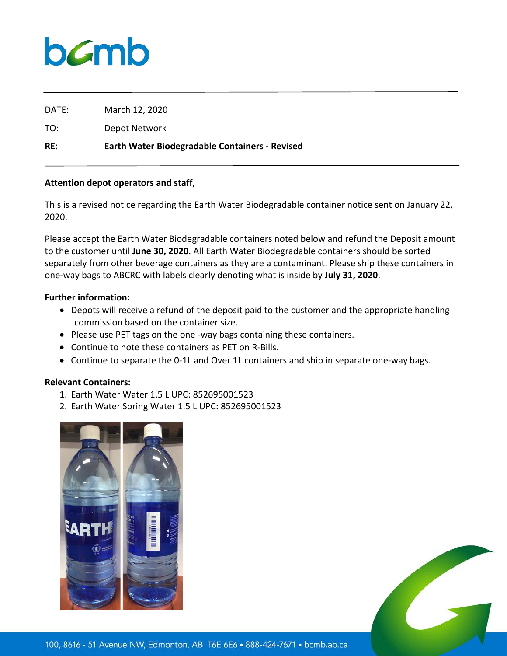## $b$ *C*mb

DATE: March 12, 2020

TO: Depot Network

**RE: Earth Water Biodegradable Containers - Revised**

## **Attention depot operators and staff,**

This is a revised notice regarding the Earth Water Biodegradable container notice sent on January 22, 2020.

Please accept the Earth Water Biodegradable containers noted below and refund the Deposit amount to the customer until **June 30, 2020**. All Earth Water Biodegradable containers should be sorted separately from other beverage containers as they are a contaminant. Please ship these containers in one-way bags to ABCRC with labels clearly denoting what is inside by **July 31, 2020**.

## **Further information:**

- Depots will receive a refund of the deposit paid to the customer and the appropriate handling commission based on the container size.
- Please use PET tags on the one -way bags containing these containers.
- Continue to note these containers as PET on R-Bills.
- Continue to separate the 0-1L and Over 1L containers and ship in separate one-way bags.

## **Relevant Containers:**

- 1. Earth Water Water 1.5 L UPC: 852695001523
- 2. Earth Water Spring Water 1.5 L UPC: 852695001523